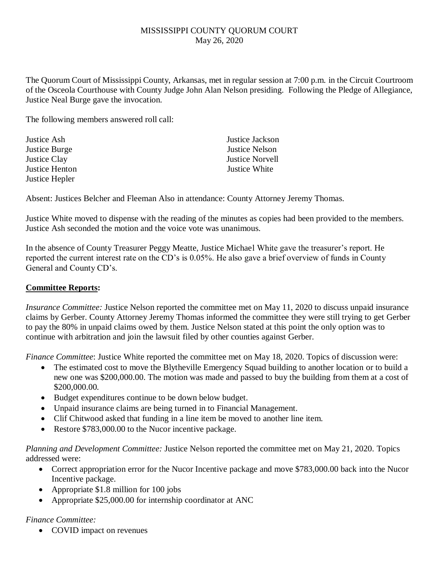## MISSISSIPPI COUNTY QUORUM COURT May 26, 2020

The Quorum Court of Mississippi County, Arkansas, met in regular session at 7:00 p.m. in the Circuit Courtroom of the Osceola Courthouse with County Judge John Alan Nelson presiding. Following the Pledge of Allegiance, Justice Neal Burge gave the invocation.

The following members answered roll call:

Justice Ash Justice Jackson Justice Burge Justice Nelson Justice Clay Justice Norvell Justice Henton Justice White Justice Hepler

Absent: Justices Belcher and Fleeman Also in attendance: County Attorney Jeremy Thomas.

Justice White moved to dispense with the reading of the minutes as copies had been provided to the members. Justice Ash seconded the motion and the voice vote was unanimous.

In the absence of County Treasurer Peggy Meatte, Justice Michael White gave the treasurer's report. He reported the current interest rate on the CD's is 0.05%. He also gave a brief overview of funds in County General and County CD's.

## **Committee Reports:**

*Insurance Committee:* Justice Nelson reported the committee met on May 11, 2020 to discuss unpaid insurance claims by Gerber. County Attorney Jeremy Thomas informed the committee they were still trying to get Gerber to pay the 80% in unpaid claims owed by them. Justice Nelson stated at this point the only option was to continue with arbitration and join the lawsuit filed by other counties against Gerber.

*Finance Committee*: Justice White reported the committee met on May 18, 2020. Topics of discussion were:

- The estimated cost to move the Blytheville Emergency Squad building to another location or to build a new one was \$200,000.00. The motion was made and passed to buy the building from them at a cost of \$200,000.00.
- Budget expenditures continue to be down below budget.
- Unpaid insurance claims are being turned in to Financial Management.
- Clif Chitwood asked that funding in a line item be moved to another line item.
- Restore \$783,000.00 to the Nucor incentive package.

*Planning and Development Committee:* Justice Nelson reported the committee met on May 21, 2020. Topics addressed were:

- Correct appropriation error for the Nucor Incentive package and move \$783,000.00 back into the Nucor Incentive package.
- Appropriate \$1.8 million for 100 jobs
- Appropriate \$25,000.00 for internship coordinator at ANC

## *Finance Committee:*

• COVID impact on revenues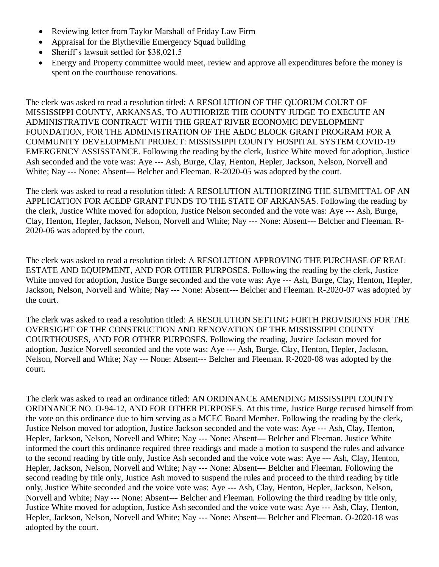- Reviewing letter from Taylor Marshall of Friday Law Firm
- Appraisal for the Blytheville Emergency Squad building
- Sheriff's lawsuit settled for \$38,021.5
- Energy and Property committee would meet, review and approve all expenditures before the money is spent on the courthouse renovations.

The clerk was asked to read a resolution titled: A RESOLUTION OF THE QUORUM COURT OF MISSISSIPPI COUNTY, ARKANSAS, TO AUTHORIZE THE COUNTY JUDGE TO EXECUTE AN ADMINISTRATIVE CONTRACT WITH THE GREAT RIVER ECONOMIC DEVELOPMENT FOUNDATION, FOR THE ADMINISTRATION OF THE AEDC BLOCK GRANT PROGRAM FOR A COMMUNITY DEVELOPMENT PROJECT: MISSISSIPPI COUNTY HOSPITAL SYSTEM COVID-19 EMERGENCY ASSISSTANCE. Following the reading by the clerk, Justice White moved for adoption, Justice Ash seconded and the vote was: Aye --- Ash, Burge, Clay, Henton, Hepler, Jackson, Nelson, Norvell and White; Nay --- None: Absent--- Belcher and Fleeman. R-2020-05 was adopted by the court.

The clerk was asked to read a resolution titled: A RESOLUTION AUTHORIZING THE SUBMITTAL OF AN APPLICATION FOR ACEDP GRANT FUNDS TO THE STATE OF ARKANSAS. Following the reading by the clerk, Justice White moved for adoption, Justice Nelson seconded and the vote was: Aye --- Ash, Burge, Clay, Henton, Hepler, Jackson, Nelson, Norvell and White; Nay --- None: Absent--- Belcher and Fleeman. R-2020-06 was adopted by the court.

The clerk was asked to read a resolution titled: A RESOLUTION APPROVING THE PURCHASE OF REAL ESTATE AND EQUIPMENT, AND FOR OTHER PURPOSES. Following the reading by the clerk, Justice White moved for adoption, Justice Burge seconded and the vote was: Aye --- Ash, Burge, Clay, Henton, Hepler, Jackson, Nelson, Norvell and White; Nay --- None: Absent--- Belcher and Fleeman. R-2020-07 was adopted by the court.

The clerk was asked to read a resolution titled: A RESOLUTION SETTING FORTH PROVISIONS FOR THE OVERSIGHT OF THE CONSTRUCTION AND RENOVATION OF THE MISSISSIPPI COUNTY COURTHOUSES, AND FOR OTHER PURPOSES. Following the reading, Justice Jackson moved for adoption, Justice Norvell seconded and the vote was: Aye --- Ash, Burge, Clay, Henton, Hepler, Jackson, Nelson, Norvell and White; Nay --- None: Absent--- Belcher and Fleeman. R-2020-08 was adopted by the court.

The clerk was asked to read an ordinance titled: AN ORDINANCE AMENDING MISSISSIPPI COUNTY ORDINANCE NO. O-94-12, AND FOR OTHER PURPOSES. At this time, Justice Burge recused himself from the vote on this ordinance due to him serving as a MCEC Board Member. Following the reading by the clerk, Justice Nelson moved for adoption, Justice Jackson seconded and the vote was: Aye --- Ash, Clay, Henton, Hepler, Jackson, Nelson, Norvell and White; Nay --- None: Absent--- Belcher and Fleeman. Justice White informed the court this ordinance required three readings and made a motion to suspend the rules and advance to the second reading by title only, Justice Ash seconded and the voice vote was: Aye --- Ash, Clay, Henton, Hepler, Jackson, Nelson, Norvell and White; Nay --- None: Absent--- Belcher and Fleeman. Following the second reading by title only, Justice Ash moved to suspend the rules and proceed to the third reading by title only, Justice White seconded and the voice vote was: Aye --- Ash, Clay, Henton, Hepler, Jackson, Nelson, Norvell and White; Nay --- None: Absent--- Belcher and Fleeman. Following the third reading by title only, Justice White moved for adoption, Justice Ash seconded and the voice vote was: Aye --- Ash, Clay, Henton, Hepler, Jackson, Nelson, Norvell and White; Nay --- None: Absent--- Belcher and Fleeman. O-2020-18 was adopted by the court.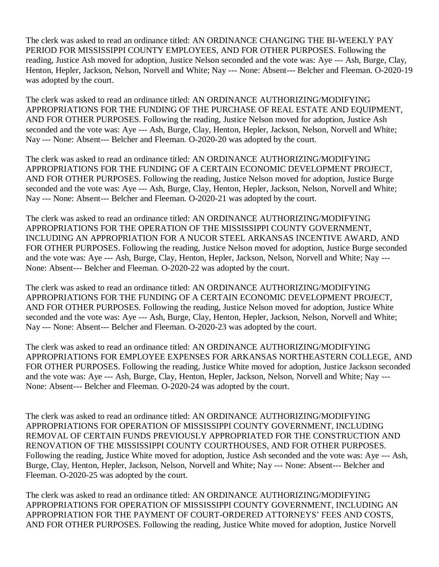The clerk was asked to read an ordinance titled: AN ORDINANCE CHANGING THE BI-WEEKLY PAY PERIOD FOR MISSISSIPPI COUNTY EMPLOYEES, AND FOR OTHER PURPOSES. Following the reading, Justice Ash moved for adoption, Justice Nelson seconded and the vote was: Aye --- Ash, Burge, Clay, Henton, Hepler, Jackson, Nelson, Norvell and White; Nay --- None: Absent--- Belcher and Fleeman. O-2020-19 was adopted by the court.

The clerk was asked to read an ordinance titled: AN ORDINANCE AUTHORIZING/MODIFYING APPROPRIATIONS FOR THE FUNDING OF THE PURCHASE OF REAL ESTATE AND EQUIPMENT, AND FOR OTHER PURPOSES. Following the reading, Justice Nelson moved for adoption, Justice Ash seconded and the vote was: Aye --- Ash, Burge, Clay, Henton, Hepler, Jackson, Nelson, Norvell and White; Nay --- None: Absent--- Belcher and Fleeman. O-2020-20 was adopted by the court.

The clerk was asked to read an ordinance titled: AN ORDINANCE AUTHORIZING/MODIFYING APPROPRIATIONS FOR THE FUNDING OF A CERTAIN ECONOMIC DEVELOPMENT PROJECT, AND FOR OTHER PURPOSES. Following the reading, Justice Nelson moved for adoption, Justice Burge seconded and the vote was: Aye --- Ash, Burge, Clay, Henton, Hepler, Jackson, Nelson, Norvell and White; Nay --- None: Absent--- Belcher and Fleeman. O-2020-21 was adopted by the court.

The clerk was asked to read an ordinance titled: AN ORDINANCE AUTHORIZING/MODIFYING APPROPRIATIONS FOR THE OPERATION OF THE MISSISSIPPI COUNTY GOVERNMENT, INCLUDING AN APPROPRIATION FOR A NUCOR STEEL ARKANSAS INCENTIVE AWARD, AND FOR OTHER PURPOSES. Following the reading, Justice Nelson moved for adoption, Justice Burge seconded and the vote was: Aye --- Ash, Burge, Clay, Henton, Hepler, Jackson, Nelson, Norvell and White; Nay --- None: Absent--- Belcher and Fleeman. O-2020-22 was adopted by the court.

The clerk was asked to read an ordinance titled: AN ORDINANCE AUTHORIZING/MODIFYING APPROPRIATIONS FOR THE FUNDING OF A CERTAIN ECONOMIC DEVELOPMENT PROJECT, AND FOR OTHER PURPOSES. Following the reading, Justice Nelson moved for adoption, Justice White seconded and the vote was: Aye --- Ash, Burge, Clay, Henton, Hepler, Jackson, Nelson, Norvell and White; Nay --- None: Absent--- Belcher and Fleeman. O-2020-23 was adopted by the court.

The clerk was asked to read an ordinance titled: AN ORDINANCE AUTHORIZING/MODIFYING APPROPRIATIONS FOR EMPLOYEE EXPENSES FOR ARKANSAS NORTHEASTERN COLLEGE, AND FOR OTHER PURPOSES. Following the reading, Justice White moved for adoption, Justice Jackson seconded and the vote was: Aye --- Ash, Burge, Clay, Henton, Hepler, Jackson, Nelson, Norvell and White; Nay --- None: Absent--- Belcher and Fleeman. O-2020-24 was adopted by the court.

The clerk was asked to read an ordinance titled: AN ORDINANCE AUTHORIZING/MODIFYING APPROPRIATIONS FOR OPERATION OF MISSISSIPPI COUNTY GOVERNMENT, INCLUDING REMOVAL OF CERTAIN FUNDS PREVIOUSLY APPROPRIATED FOR THE CONSTRUCTION AND RENOVATION OF THE MISSISSIPPI COUNTY COURTHOUSES, AND FOR OTHER PURPOSES. Following the reading, Justice White moved for adoption, Justice Ash seconded and the vote was: Aye --- Ash, Burge, Clay, Henton, Hepler, Jackson, Nelson, Norvell and White; Nay --- None: Absent--- Belcher and Fleeman. O-2020-25 was adopted by the court.

The clerk was asked to read an ordinance titled: AN ORDINANCE AUTHORIZING/MODIFYING APPROPRIATIONS FOR OPERATION OF MISSISSIPPI COUNTY GOVERNMENT, INCLUDING AN APPROPRIATION FOR THE PAYMENT OF COURT-ORDERED ATTORNEYS' FEES AND COSTS, AND FOR OTHER PURPOSES. Following the reading, Justice White moved for adoption, Justice Norvell